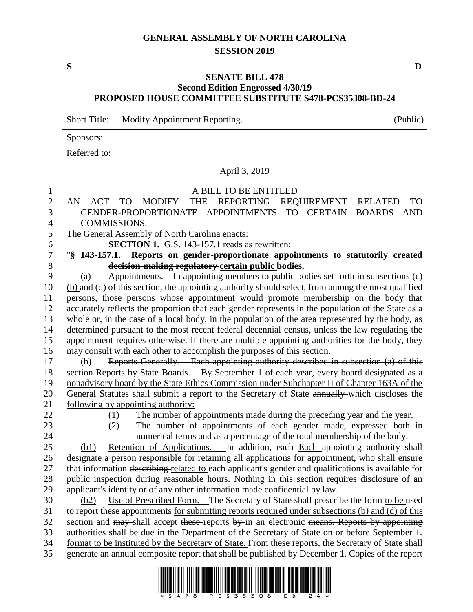# **GENERAL ASSEMBLY OF NORTH CAROLINA SESSION 2019**

**S D**

## **SENATE BILL 478 Second Edition Engrossed 4/30/19 PROPOSED HOUSE COMMITTEE SUBSTITUTE S478-PCS35308-BD-24**

Short Title: Modify Appointment Reporting. (Public)

Sponsors:

Referred to:

### April 3, 2019

#### A BILL TO BE ENTITLED

### AN ACT TO MODIFY THE REPORTING REQUIREMENT RELATED TO GENDER-PROPORTIONATE APPOINTMENTS TO CERTAIN BOARDS AND COMMISSIONS.

The General Assembly of North Carolina enacts:

**SECTION 1.** G.S. 143-157.1 reads as rewritten:

## "**§ 143-157.1. Reports on gender-proportionate appointments to statutorily created decision-making regulatory certain public bodies.**

9 (a) Appointments. – In appointing members to public bodies set forth in subsections  $\left(\epsilon\right)$  (b) and (d) of this section, the appointing authority should select, from among the most qualified persons, those persons whose appointment would promote membership on the body that accurately reflects the proportion that each gender represents in the population of the State as a whole or, in the case of a local body, in the population of the area represented by the body, as determined pursuant to the most recent federal decennial census, unless the law regulating the appointment requires otherwise. If there are multiple appointing authorities for the body, they may consult with each other to accomplish the purposes of this section.

 (b) Reports Generally. – Each appointing authority described in subsection (a) of this 18 section-Reports by State Boards. – By September 1 of each year, every board designated as a nonadvisory board by the State Ethics Commission under Subchapter II of Chapter 163A of the General Statutes shall submit a report to the Secretary of State annually which discloses the following by appointing authority:

22 (1) The number of appointments made during the preceding year and the year.

- 
- (2) The number of appointments of each gender made, expressed both in

 numerical terms and as a percentage of the total membership of the body. (b1) Retention of Applications. – In addition, each Each appointing authority shall

 designate a person responsible for retaining all applications for appointment, who shall ensure 27 that information describing related to each applicant's gender and qualifications is available for public inspection during reasonable hours. Nothing in this section requires disclosure of an applicant's identity or of any other information made confidential by law.

 (b2) Use of Prescribed Form. – The Secretary of State shall prescribe the form to be used 31 to report these appointments for submitting reports required under subsections (b) and (d) of this section and may-shall accept these-reports by in an electronic means. Reports by appointing authorities shall be due in the Department of the Secretary of State on or before September 1. format to be instituted by the Secretary of State. From these reports, the Secretary of State shall generate an annual composite report that shall be published by December 1. Copies of the report

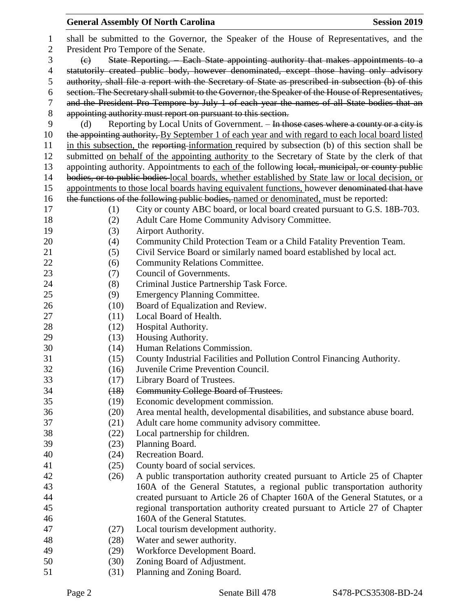# **General Assembly Of North Carolina Session 2019 Session 2019**  shall be submitted to the Governor, the Speaker of the House of Representatives, and the President Pro Tempore of the Senate. (c) State Reporting. – Each State appointing authority that makes appointments to a 4 statutorily created public body, however denominated, except those having only advisory authority, shall file a report with the Secretary of State as prescribed in subsection (b) of this section. The Secretary shall submit to the Governor, the Speaker of the House of Representatives, and the President Pro Tempore by July 1 of each year the names of all State bodies that an appointing authority must report on pursuant to this section. 9 (d) Reporting by Local Units of Government. – In those cases where a county or a city is 10 the appointing authority, By September 1 of each year and with regard to each local board listed in this subsection, the reporting information required by subsection (b) of this section shall be submitted on behalf of the appointing authority to the Secretary of State by the clerk of that 13 appointing authority. Appointments to each of the following local, municipal, or county public bodies, or to public bodies local boards, whether established by State law or local decision, or 15 appointments to those local boards having equivalent functions, however denominated that have 16 the functions of the following public bodies, named or denominated, must be reported: (1) City or county ABC board, or local board created pursuant to G.S. 18B-703. (2) Adult Care Home Community Advisory Committee. (3) Airport Authority. (4) Community Child Protection Team or a Child Fatality Prevention Team. (5) Civil Service Board or similarly named board established by local act. 22 (6) Community Relations Committee. 23 (7) Council of Governments. (8) Criminal Justice Partnership Task Force. (9) Emergency Planning Committee. (10) Board of Equalization and Review. (11) Local Board of Health. 28 (12) Hospital Authority. (13) Housing Authority. (14) Human Relations Commission. (15) County Industrial Facilities and Pollution Control Financing Authority. (16) Juvenile Crime Prevention Council. (17) Library Board of Trustees. (18) Community College Board of Trustees. (19) Economic development commission. (20) Area mental health, developmental disabilities, and substance abuse board. (21) Adult care home community advisory committee. (22) Local partnership for children. (23) Planning Board. (24) Recreation Board. (25) County board of social services. (26) A public transportation authority created pursuant to Article 25 of Chapter 160A of the General Statutes, a regional public transportation authority created pursuant to Article 26 of Chapter 160A of the General Statutes, or a regional transportation authority created pursuant to Article 27 of Chapter 160A of the General Statutes. (27) Local tourism development authority. (28) Water and sewer authority. (29) Workforce Development Board. (30) Zoning Board of Adjustment.

(31) Planning and Zoning Board.